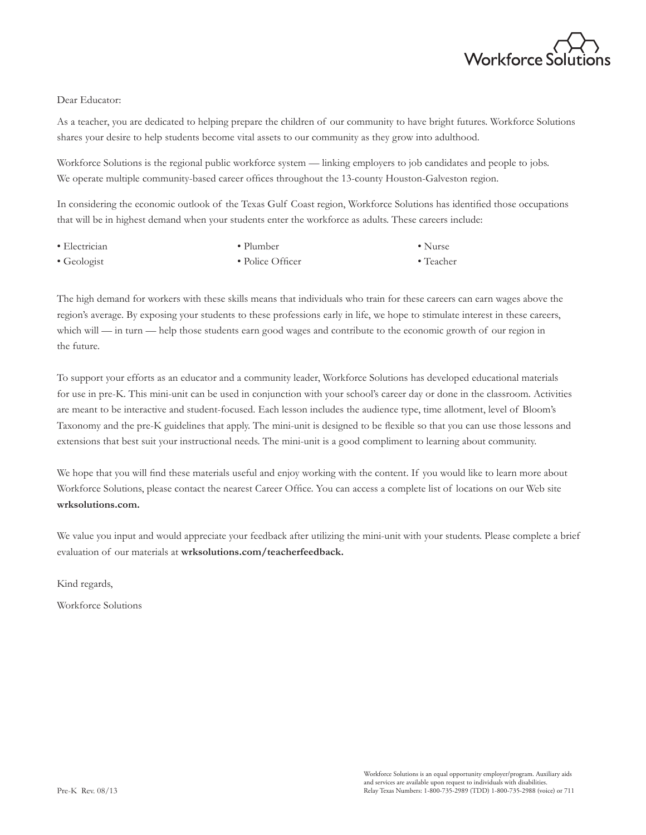

### Dear Educator:

As a teacher, you are dedicated to helping prepare the children of our community to have bright futures. Workforce Solutions shares your desire to help students become vital assets to our community as they grow into adulthood.

Workforce Solutions is the regional public workforce system — linking employers to job candidates and people to jobs. We operate multiple community-based career offices throughout the 13-county Houston-Galveston region.

In considering the economic outlook of the Texas Gulf Coast region, Workforce Solutions has identified those occupations that will be in highest demand when your students enter the workforce as adults. These careers include:

| • Electrician       | $\bullet$ Plumber | $\bullet$ Nurse   |
|---------------------|-------------------|-------------------|
| $\bullet$ Geologist | • Police Officer  | $\bullet$ Teacher |

The high demand for workers with these skills means that individuals who train for these careers can earn wages above the region's average. By exposing your students to these professions early in life, we hope to stimulate interest in these careers, which will — in turn — help those students earn good wages and contribute to the economic growth of our region in the future.

To support your efforts as an educator and a community leader, Workforce Solutions has developed educational materials for use in pre-K. This mini-unit can be used in conjunction with your school's career day or done in the classroom. Activities are meant to be interactive and student-focused. Each lesson includes the audience type, time allotment, level of Bloom's Taxonomy and the pre-K guidelines that apply. The mini-unit is designed to be flexible so that you can use those lessons and extensions that best suit your instructional needs. The mini-unit is a good compliment to learning about community.

We hope that you will find these materials useful and enjoy working with the content. If you would like to learn more about Workforce Solutions, please contact the nearest Career Office. You can access a complete list of locations on our Web site **wrksolutions.com.**

We value you input and would appreciate your feedback after utilizing the mini-unit with your students. Please complete a brief evaluation of our materials at **wrksolutions.com/teacherfeedback.**

Kind regards,

Workforce Solutions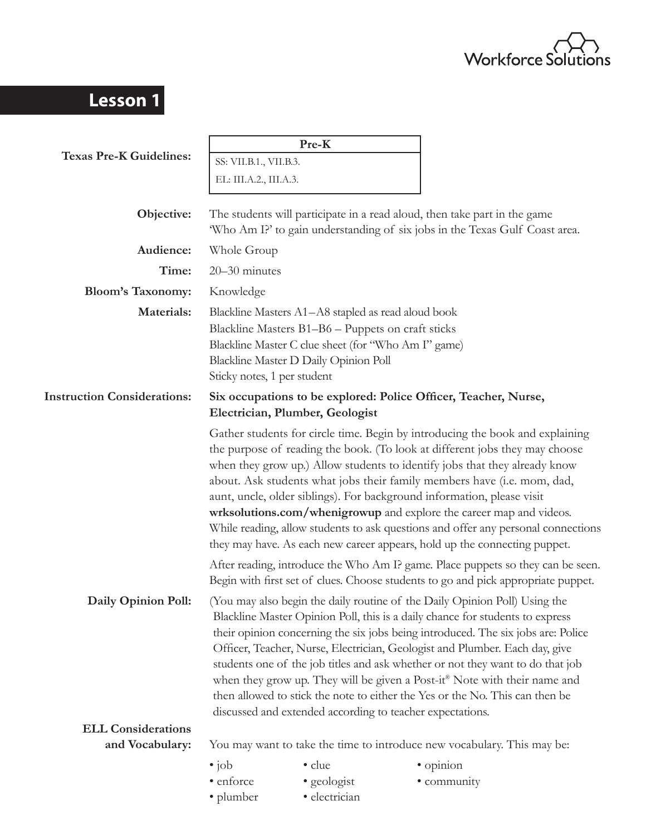

# **Lesson 1**

|                                    |                                                                                                                                                                                                                                                                                                                                                                                                                                                                                                                                                                                                                                            | Pre-K                                                                                                                                                                                                   |  |                                                                                                                                                                                                                                                                                                                                                                                                                                                                                                                                                                                                                                          |  |
|------------------------------------|--------------------------------------------------------------------------------------------------------------------------------------------------------------------------------------------------------------------------------------------------------------------------------------------------------------------------------------------------------------------------------------------------------------------------------------------------------------------------------------------------------------------------------------------------------------------------------------------------------------------------------------------|---------------------------------------------------------------------------------------------------------------------------------------------------------------------------------------------------------|--|------------------------------------------------------------------------------------------------------------------------------------------------------------------------------------------------------------------------------------------------------------------------------------------------------------------------------------------------------------------------------------------------------------------------------------------------------------------------------------------------------------------------------------------------------------------------------------------------------------------------------------------|--|
| <b>Texas Pre-K Guidelines:</b>     | SS: VII.B.1., VII.B.3.                                                                                                                                                                                                                                                                                                                                                                                                                                                                                                                                                                                                                     |                                                                                                                                                                                                         |  |                                                                                                                                                                                                                                                                                                                                                                                                                                                                                                                                                                                                                                          |  |
|                                    | EL: III.A.2., III.A.3.                                                                                                                                                                                                                                                                                                                                                                                                                                                                                                                                                                                                                     |                                                                                                                                                                                                         |  |                                                                                                                                                                                                                                                                                                                                                                                                                                                                                                                                                                                                                                          |  |
| Objective:                         | The students will participate in a read aloud, then take part in the game<br>'Who Am I?' to gain understanding of six jobs in the Texas Gulf Coast area.                                                                                                                                                                                                                                                                                                                                                                                                                                                                                   |                                                                                                                                                                                                         |  |                                                                                                                                                                                                                                                                                                                                                                                                                                                                                                                                                                                                                                          |  |
| Audience:                          | Whole Group                                                                                                                                                                                                                                                                                                                                                                                                                                                                                                                                                                                                                                |                                                                                                                                                                                                         |  |                                                                                                                                                                                                                                                                                                                                                                                                                                                                                                                                                                                                                                          |  |
| Time:                              | 20-30 minutes                                                                                                                                                                                                                                                                                                                                                                                                                                                                                                                                                                                                                              |                                                                                                                                                                                                         |  |                                                                                                                                                                                                                                                                                                                                                                                                                                                                                                                                                                                                                                          |  |
| <b>Bloom's Taxonomy:</b>           | Knowledge                                                                                                                                                                                                                                                                                                                                                                                                                                                                                                                                                                                                                                  |                                                                                                                                                                                                         |  |                                                                                                                                                                                                                                                                                                                                                                                                                                                                                                                                                                                                                                          |  |
| Materials:                         | Sticky notes, 1 per student                                                                                                                                                                                                                                                                                                                                                                                                                                                                                                                                                                                                                | Blackline Masters A1-A8 stapled as read aloud book<br>Blackline Masters B1-B6 - Puppets on craft sticks<br>Blackline Master C clue sheet (for "Who Am I" game)<br>Blackline Master D Daily Opinion Poll |  |                                                                                                                                                                                                                                                                                                                                                                                                                                                                                                                                                                                                                                          |  |
| <b>Instruction Considerations:</b> |                                                                                                                                                                                                                                                                                                                                                                                                                                                                                                                                                                                                                                            | Electrician, Plumber, Geologist                                                                                                                                                                         |  | Six occupations to be explored: Police Officer, Teacher, Nurse,                                                                                                                                                                                                                                                                                                                                                                                                                                                                                                                                                                          |  |
|                                    |                                                                                                                                                                                                                                                                                                                                                                                                                                                                                                                                                                                                                                            |                                                                                                                                                                                                         |  | Gather students for circle time. Begin by introducing the book and explaining<br>the purpose of reading the book. (To look at different jobs they may choose<br>when they grow up.) Allow students to identify jobs that they already know<br>about. Ask students what jobs their family members have (i.e. mom, dad,<br>aunt, uncle, older siblings). For background information, please visit<br>wrksolutions.com/whenigrowup and explore the career map and videos.<br>While reading, allow students to ask questions and offer any personal connections<br>they may have. As each new career appears, hold up the connecting puppet. |  |
|                                    |                                                                                                                                                                                                                                                                                                                                                                                                                                                                                                                                                                                                                                            |                                                                                                                                                                                                         |  | After reading, introduce the Who Am I? game. Place puppets so they can be seen.<br>Begin with first set of clues. Choose students to go and pick appropriate puppet.                                                                                                                                                                                                                                                                                                                                                                                                                                                                     |  |
| Daily Opinion Poll:                | (You may also begin the daily routine of the Daily Opinion Poll) Using the<br>Blackline Master Opinion Poll, this is a daily chance for students to express<br>their opinion concerning the six jobs being introduced. The six jobs are: Police<br>Officer, Teacher, Nurse, Electrician, Geologist and Plumber. Each day, give<br>students one of the job titles and ask whether or not they want to do that job<br>when they grow up. They will be given a Post-it® Note with their name and<br>then allowed to stick the note to either the Yes or the No. This can then be<br>discussed and extended according to teacher expectations. |                                                                                                                                                                                                         |  |                                                                                                                                                                                                                                                                                                                                                                                                                                                                                                                                                                                                                                          |  |
| <b>ELL Considerations</b>          |                                                                                                                                                                                                                                                                                                                                                                                                                                                                                                                                                                                                                                            |                                                                                                                                                                                                         |  |                                                                                                                                                                                                                                                                                                                                                                                                                                                                                                                                                                                                                                          |  |
| and Vocabulary:                    | You may want to take the time to introduce new vocabulary. This may be:                                                                                                                                                                                                                                                                                                                                                                                                                                                                                                                                                                    |                                                                                                                                                                                                         |  |                                                                                                                                                                                                                                                                                                                                                                                                                                                                                                                                                                                                                                          |  |
|                                    | $\bullet$ job<br>• enforce<br>· plumber                                                                                                                                                                                                                                                                                                                                                                                                                                                                                                                                                                                                    | • clue<br>• geologist<br>· electrician                                                                                                                                                                  |  | · opinion<br>• community                                                                                                                                                                                                                                                                                                                                                                                                                                                                                                                                                                                                                 |  |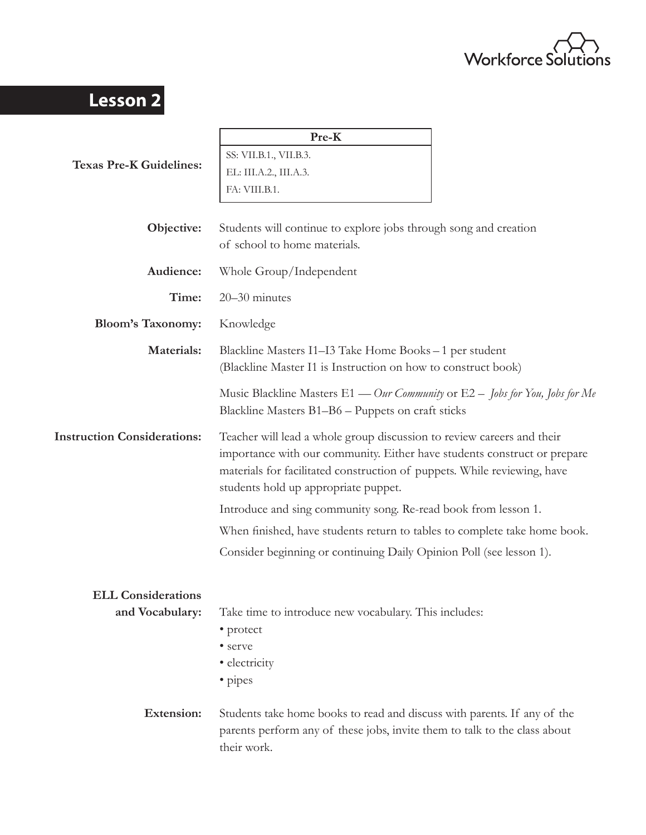

# **Lesson 2**

|                                    | Pre-K                                                                                                                                                                                                                                                                  |  |  |  |
|------------------------------------|------------------------------------------------------------------------------------------------------------------------------------------------------------------------------------------------------------------------------------------------------------------------|--|--|--|
| <b>Texas Pre-K Guidelines:</b>     | SS: VII.B.1., VII.B.3.                                                                                                                                                                                                                                                 |  |  |  |
|                                    | EL: III.A.2., III.A.3.                                                                                                                                                                                                                                                 |  |  |  |
|                                    | FA: VIII.B.1.                                                                                                                                                                                                                                                          |  |  |  |
|                                    |                                                                                                                                                                                                                                                                        |  |  |  |
| Objective:                         | Students will continue to explore jobs through song and creation<br>of school to home materials.                                                                                                                                                                       |  |  |  |
| Audience:                          | Whole Group/Independent                                                                                                                                                                                                                                                |  |  |  |
| Time:                              | 20-30 minutes                                                                                                                                                                                                                                                          |  |  |  |
| <b>Bloom's Taxonomy:</b>           | Knowledge                                                                                                                                                                                                                                                              |  |  |  |
| Materials:                         | Blackline Masters I1–I3 Take Home Books – 1 per student<br>(Blackline Master I1 is Instruction on how to construct book)                                                                                                                                               |  |  |  |
|                                    | Music Blackline Masters $E1$ — Our Community or $E2$ – Jobs for You, Jobs for Me<br>Blackline Masters B1-B6 - Puppets on craft sticks                                                                                                                                  |  |  |  |
| <b>Instruction Considerations:</b> | Teacher will lead a whole group discussion to review careers and their<br>importance with our community. Either have students construct or prepare<br>materials for facilitated construction of puppets. While reviewing, have<br>students hold up appropriate puppet. |  |  |  |
|                                    | Introduce and sing community song. Re-read book from lesson 1.                                                                                                                                                                                                         |  |  |  |
|                                    | When finished, have students return to tables to complete take home book.                                                                                                                                                                                              |  |  |  |
|                                    | Consider beginning or continuing Daily Opinion Poll (see lesson 1).                                                                                                                                                                                                    |  |  |  |
| <b>ELL Considerations</b>          |                                                                                                                                                                                                                                                                        |  |  |  |
| and Vocabulary:                    | Take time to introduce new vocabulary. This includes:<br>• protect                                                                                                                                                                                                     |  |  |  |
|                                    | • serve                                                                                                                                                                                                                                                                |  |  |  |
|                                    | • electricity<br>• pipes                                                                                                                                                                                                                                               |  |  |  |
| <b>Extension:</b>                  | Students take home books to read and discuss with parents. If any of the<br>parents perform any of these jobs, invite them to talk to the class about<br>their work.                                                                                                   |  |  |  |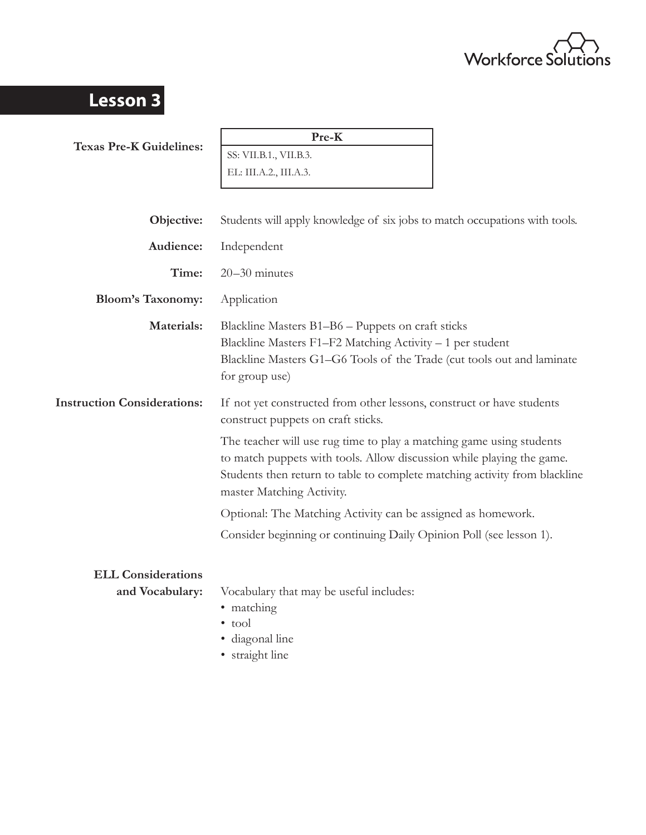

# **Lesson 3**

**Texas Pre-K Guidelines:**

**Pre-K**

SS: VII.B.1., VII.B.3. EL: III.A.2., III.A.3.

| Objective:                         | Students will apply knowledge of six jobs to match occupations with tools.                                                                                                                                                                               |
|------------------------------------|----------------------------------------------------------------------------------------------------------------------------------------------------------------------------------------------------------------------------------------------------------|
| Audience:                          | Independent                                                                                                                                                                                                                                              |
| Time:                              | $20 - 30$ minutes                                                                                                                                                                                                                                        |
| <b>Bloom's Taxonomy:</b>           | Application                                                                                                                                                                                                                                              |
| Materials:                         | Blackline Masters B1-B6 - Puppets on craft sticks<br>Blackline Masters F1-F2 Matching Activity - 1 per student<br>Blackline Masters G1-G6 Tools of the Trade (cut tools out and laminate<br>for group use)                                               |
| <b>Instruction Considerations:</b> | If not yet constructed from other lessons, construct or have students<br>construct puppets on craft sticks.                                                                                                                                              |
|                                    | The teacher will use rug time to play a matching game using students<br>to match puppets with tools. Allow discussion while playing the game.<br>Students then return to table to complete matching activity from blackline<br>master Matching Activity. |
|                                    | Optional: The Matching Activity can be assigned as homework.                                                                                                                                                                                             |
|                                    | Consider beginning or continuing Daily Opinion Poll (see lesson 1).                                                                                                                                                                                      |
| <b>ELL Considerations</b>          |                                                                                                                                                                                                                                                          |
| and Vocabulary:                    | Vocabulary that may be useful includes:<br>• matching<br>$\bullet$ tool<br>· diagonal line<br>• straight line                                                                                                                                            |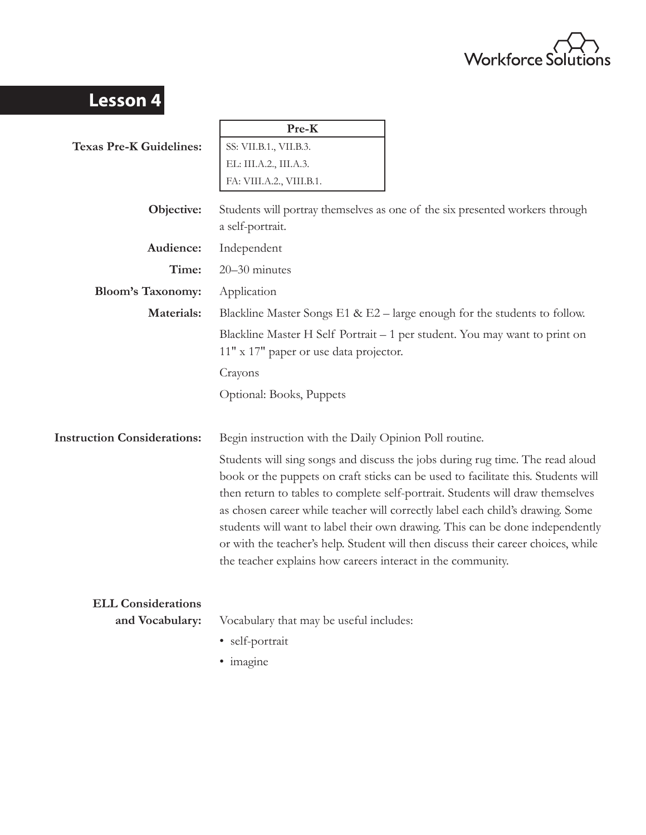

| <b>Lesson 4</b>                              |                                                                                                                                                                                                                                                                                                                                                                                                                                                                                                                                                                             |
|----------------------------------------------|-----------------------------------------------------------------------------------------------------------------------------------------------------------------------------------------------------------------------------------------------------------------------------------------------------------------------------------------------------------------------------------------------------------------------------------------------------------------------------------------------------------------------------------------------------------------------------|
|                                              | Pre-K                                                                                                                                                                                                                                                                                                                                                                                                                                                                                                                                                                       |
| <b>Texas Pre-K Guidelines:</b>               | SS: VII.B.1., VII.B.3.                                                                                                                                                                                                                                                                                                                                                                                                                                                                                                                                                      |
|                                              | EL: III.A.2., III.A.3.                                                                                                                                                                                                                                                                                                                                                                                                                                                                                                                                                      |
|                                              | FA: VIII.A.2., VIII.B.1.                                                                                                                                                                                                                                                                                                                                                                                                                                                                                                                                                    |
| Objective:                                   | Students will portray themselves as one of the six presented workers through<br>a self-portrait.                                                                                                                                                                                                                                                                                                                                                                                                                                                                            |
| Audience:                                    | Independent                                                                                                                                                                                                                                                                                                                                                                                                                                                                                                                                                                 |
| Time:                                        | 20-30 minutes                                                                                                                                                                                                                                                                                                                                                                                                                                                                                                                                                               |
| <b>Bloom's Taxonomy:</b>                     | Application                                                                                                                                                                                                                                                                                                                                                                                                                                                                                                                                                                 |
| Materials:                                   | Blackline Master Songs $E1 \& E2$ – large enough for the students to follow.                                                                                                                                                                                                                                                                                                                                                                                                                                                                                                |
|                                              | Blackline Master H Self Portrait – 1 per student. You may want to print on<br>11" x 17" paper or use data projector.                                                                                                                                                                                                                                                                                                                                                                                                                                                        |
|                                              | Crayons                                                                                                                                                                                                                                                                                                                                                                                                                                                                                                                                                                     |
|                                              | Optional: Books, Puppets                                                                                                                                                                                                                                                                                                                                                                                                                                                                                                                                                    |
| <b>Instruction Considerations:</b>           | Begin instruction with the Daily Opinion Poll routine.                                                                                                                                                                                                                                                                                                                                                                                                                                                                                                                      |
|                                              | Students will sing songs and discuss the jobs during rug time. The read aloud<br>book or the puppets on craft sticks can be used to facilitate this. Students will<br>then return to tables to complete self-portrait. Students will draw themselves<br>as chosen career while teacher will correctly label each child's drawing. Some<br>students will want to label their own drawing. This can be done independently<br>or with the teacher's help. Student will then discuss their career choices, while<br>the teacher explains how careers interact in the community. |
| <b>ELL Considerations</b><br>and Vocabulary: | Vocabulary that may be useful includes:<br>· self-portrait<br>· imagine                                                                                                                                                                                                                                                                                                                                                                                                                                                                                                     |